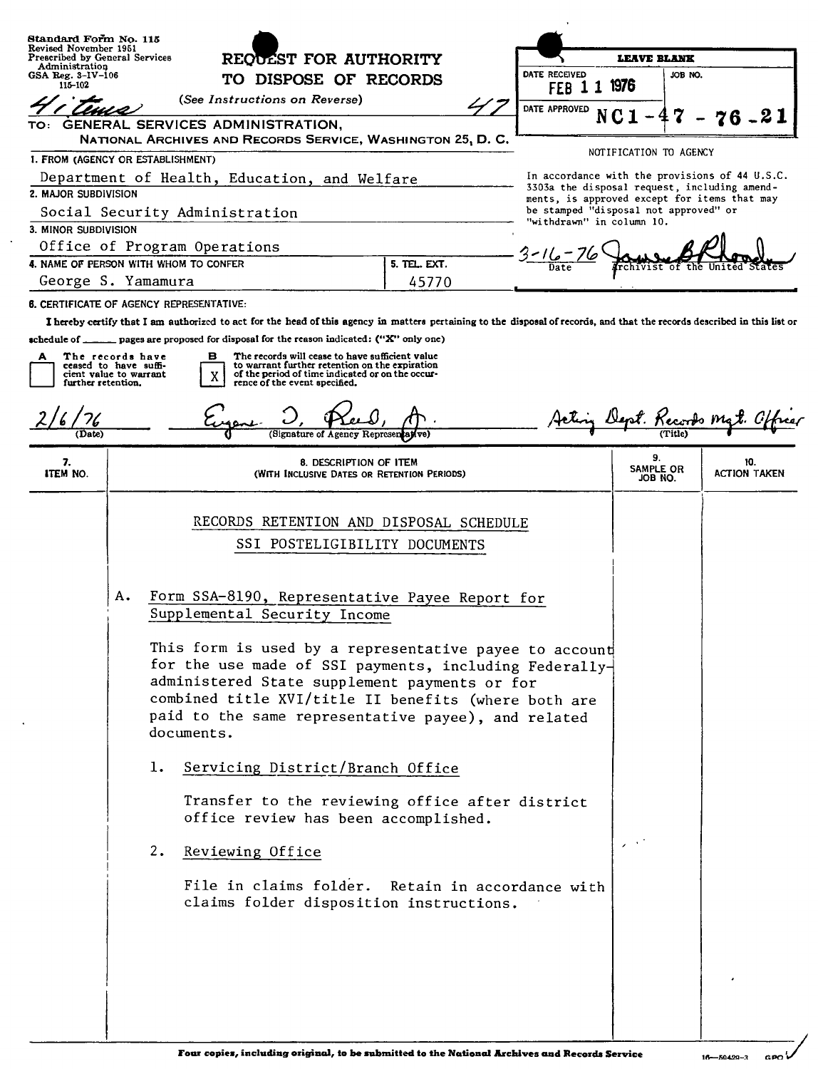| Standard Form No. 115                                                                          |                                                                                                                                                                                                                                                                                                                                                                                        |                       |                                                                                                                                                                                                                                                                          |                               |                                             |                            |                                                                                                                                                |  |                            |                        |  |                     |
|------------------------------------------------------------------------------------------------|----------------------------------------------------------------------------------------------------------------------------------------------------------------------------------------------------------------------------------------------------------------------------------------------------------------------------------------------------------------------------------------|-----------------------|--------------------------------------------------------------------------------------------------------------------------------------------------------------------------------------------------------------------------------------------------------------------------|-------------------------------|---------------------------------------------|----------------------------|------------------------------------------------------------------------------------------------------------------------------------------------|--|----------------------------|------------------------|--|---------------------|
| Revised November 1951<br>Prescribed by General Services                                        |                                                                                                                                                                                                                                                                                                                                                                                        |                       | REQUEST FOR AUTHORITY                                                                                                                                                                                                                                                    |                               |                                             |                            | <b>LEAVE BLANK</b>                                                                                                                             |  |                            |                        |  |                     |
| Administration<br>GSA Reg. 3–1V–106<br>115-102                                                 |                                                                                                                                                                                                                                                                                                                                                                                        | TO DISPOSE OF RECORDS |                                                                                                                                                                                                                                                                          |                               |                                             | DATE RECEIVED<br>1976<br>1 |                                                                                                                                                |  | JOB NO.                    |                        |  |                     |
|                                                                                                |                                                                                                                                                                                                                                                                                                                                                                                        |                       | (See Instructions on Reverse)                                                                                                                                                                                                                                            |                               |                                             |                            | FEB 1                                                                                                                                          |  |                            |                        |  |                     |
| TO:                                                                                            |                                                                                                                                                                                                                                                                                                                                                                                        |                       | GENERAL SERVICES ADMINISTRATION,                                                                                                                                                                                                                                         |                               |                                             |                            | <b>DATE APPROVED</b>                                                                                                                           |  |                            |                        |  | 6.21                |
|                                                                                                |                                                                                                                                                                                                                                                                                                                                                                                        |                       | NATIONAL ARCHIVES AND RECORDS SERVICE, WASHINGTON 25, D.C.                                                                                                                                                                                                               |                               |                                             |                            |                                                                                                                                                |  |                            |                        |  |                     |
| I. FROM (AGENCY OR ESTABLISHMENT)                                                              |                                                                                                                                                                                                                                                                                                                                                                                        |                       |                                                                                                                                                                                                                                                                          |                               |                                             |                            |                                                                                                                                                |  |                            | NOTIFICATION TO AGENCY |  |                     |
| Department of Health, Education, and Welfare<br>2. MAJOR SUBDIVISION                           |                                                                                                                                                                                                                                                                                                                                                                                        |                       |                                                                                                                                                                                                                                                                          |                               |                                             |                            | In accordance with the provisions of 44 U.S.C.<br>3303a the disposal request, including amend-<br>ments, is approved except for items that may |  |                            |                        |  |                     |
|                                                                                                |                                                                                                                                                                                                                                                                                                                                                                                        |                       | Social Security Administration                                                                                                                                                                                                                                           |                               |                                             |                            | be stamped "disposal not approved" or<br>"withdrawn" in column 10.                                                                             |  |                            |                        |  |                     |
| 3. MINOR SUBDIVISION                                                                           |                                                                                                                                                                                                                                                                                                                                                                                        |                       |                                                                                                                                                                                                                                                                          |                               |                                             |                            |                                                                                                                                                |  |                            |                        |  |                     |
| Office of Program Operations                                                                   |                                                                                                                                                                                                                                                                                                                                                                                        |                       |                                                                                                                                                                                                                                                                          |                               |                                             |                            |                                                                                                                                                |  |                            |                        |  |                     |
| 4. NAME OF PERSON WITH WHOM TO CONFER<br>5. TEL. EXT.                                          |                                                                                                                                                                                                                                                                                                                                                                                        |                       |                                                                                                                                                                                                                                                                          |                               |                                             |                            |                                                                                                                                                |  |                            |                        |  |                     |
| George S. Yamamura<br>45770<br><b>6. CERTIFICATE OF AGENCY REPRESENTATIVE:</b>                 |                                                                                                                                                                                                                                                                                                                                                                                        |                       |                                                                                                                                                                                                                                                                          |                               |                                             |                            |                                                                                                                                                |  |                            |                        |  |                     |
|                                                                                                |                                                                                                                                                                                                                                                                                                                                                                                        |                       |                                                                                                                                                                                                                                                                          |                               |                                             |                            |                                                                                                                                                |  |                            |                        |  |                     |
|                                                                                                |                                                                                                                                                                                                                                                                                                                                                                                        |                       | I hereby certify that I am authorized to act for the head of this agency in matters pertaining to the disposal of records, and that the records described in this list or<br>schedule of ______ pages are proposed for disposal for the reason indicated: ("X" only one) |                               |                                             |                            |                                                                                                                                                |  |                            |                        |  |                     |
| The records have<br>А<br>ceased to have suffi-<br>cient value to warrant<br>further retention. |                                                                                                                                                                                                                                                                                                                                                                                        |                       | The records will cease to have sufficient value<br>в<br>to warrant further retention on the expiration<br>of the period of time indicated or on the occur-<br>X<br>rence of the event specified.                                                                         |                               |                                             |                            |                                                                                                                                                |  |                            |                        |  |                     |
|                                                                                                |                                                                                                                                                                                                                                                                                                                                                                                        |                       |                                                                                                                                                                                                                                                                          |                               |                                             |                            |                                                                                                                                                |  |                            | pt. Kecords mg         |  |                     |
| (Date)                                                                                         |                                                                                                                                                                                                                                                                                                                                                                                        |                       |                                                                                                                                                                                                                                                                          | (Signature of Agency Represen |                                             |                            |                                                                                                                                                |  |                            |                        |  |                     |
| 7.<br>ITEM NO.                                                                                 |                                                                                                                                                                                                                                                                                                                                                                                        |                       |                                                                                                                                                                                                                                                                          | 8. DESCRIPTION OF ITEM        | (WITH INCLUSIVE DATES OR RETENTION PERIODS) |                            |                                                                                                                                                |  | 9.<br>SAMPLE OR<br>JOB NO. |                        |  | 10.<br>ACTION TAKEN |
|                                                                                                |                                                                                                                                                                                                                                                                                                                                                                                        |                       | RECORDS RETENTION AND DISPOSAL SCHEDULE<br>SSI POSTELIGIBILITY DOCUMENTS                                                                                                                                                                                                 |                               |                                             |                            |                                                                                                                                                |  |                            |                        |  |                     |
|                                                                                                | Α.<br>Form SSA-8190, Representative Payee Report for<br>Supplemental Security Income<br>This form is used by a representative payee to account<br>for the use made of SSI payments, including Federally-<br>administered State supplement payments or for<br>combined title XVI/title II benefits (where both are<br>paid to the same representative payee), and related<br>documents. |                       |                                                                                                                                                                                                                                                                          |                               |                                             |                            |                                                                                                                                                |  |                            |                        |  |                     |
|                                                                                                |                                                                                                                                                                                                                                                                                                                                                                                        | ı.                    | Servicing District/Branch Office                                                                                                                                                                                                                                         |                               |                                             |                            |                                                                                                                                                |  |                            |                        |  |                     |
|                                                                                                |                                                                                                                                                                                                                                                                                                                                                                                        |                       | Transfer to the reviewing office after district<br>office review has been accomplished.                                                                                                                                                                                  |                               |                                             |                            |                                                                                                                                                |  |                            |                        |  |                     |
|                                                                                                |                                                                                                                                                                                                                                                                                                                                                                                        | 2.                    | Reviewing Office                                                                                                                                                                                                                                                         |                               |                                             |                            |                                                                                                                                                |  |                            |                        |  |                     |
|                                                                                                |                                                                                                                                                                                                                                                                                                                                                                                        |                       | File in claims folder. Retain in accordance with<br>claims folder disposition instructions.                                                                                                                                                                              |                               |                                             |                            |                                                                                                                                                |  |                            |                        |  |                     |
|                                                                                                |                                                                                                                                                                                                                                                                                                                                                                                        |                       |                                                                                                                                                                                                                                                                          |                               |                                             |                            |                                                                                                                                                |  |                            |                        |  |                     |
|                                                                                                |                                                                                                                                                                                                                                                                                                                                                                                        |                       |                                                                                                                                                                                                                                                                          |                               |                                             |                            |                                                                                                                                                |  |                            |                        |  |                     |